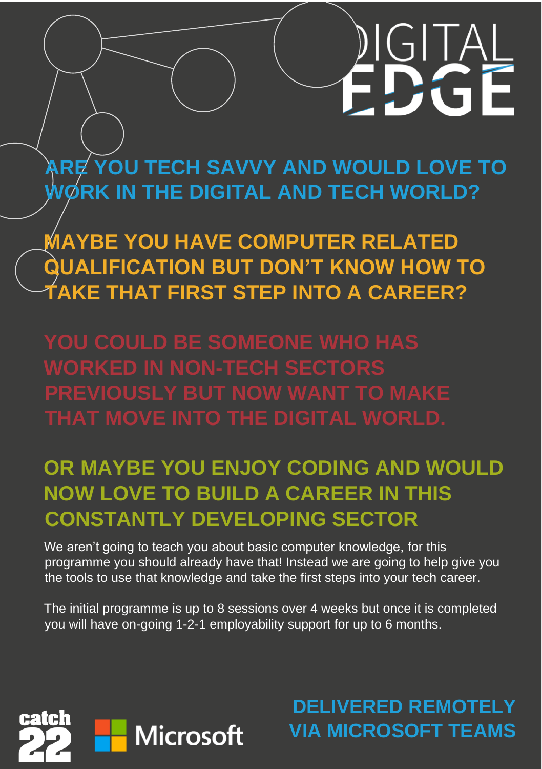# **ARE YOU TECH SAVVY AND WOULD LOVE TO WORK IN THE DIGITAL AND TECH WORLD?**

**MAYBE YOU HAVE COMPUTER RELATED QUALIFICATION BUT DON'T KNOW HOW TO TAKE THAT FIRST STEP INTO A CAREER?** 

**YOU COULD BE SOMEONE WHO HAS WORKED IN NON-TECH SECTORS PREVIOUSLY BUT NOW WANT TO MAKE THAT MOVE INTO THE DIGITAL WORLD.** 

## **OR MAYBE YOU ENJOY CODING AND WOULD NOW LOVE TO BUILD A CAREER IN THIS CONSTANTLY DEVELOPING SECTOR**

We aren't going to teach you about basic computer knowledge, for this programme you should already have that! Instead we are going to help give you the tools to use that knowledge and take the first steps into your tech career.

The initial programme is up to 8 sessions over 4 weeks but once it is completed you will have on-going 1-2-1 employability support for up to 6 months.



**DELIVERED REMOTELY VIA MICROSOFT TEAMS**